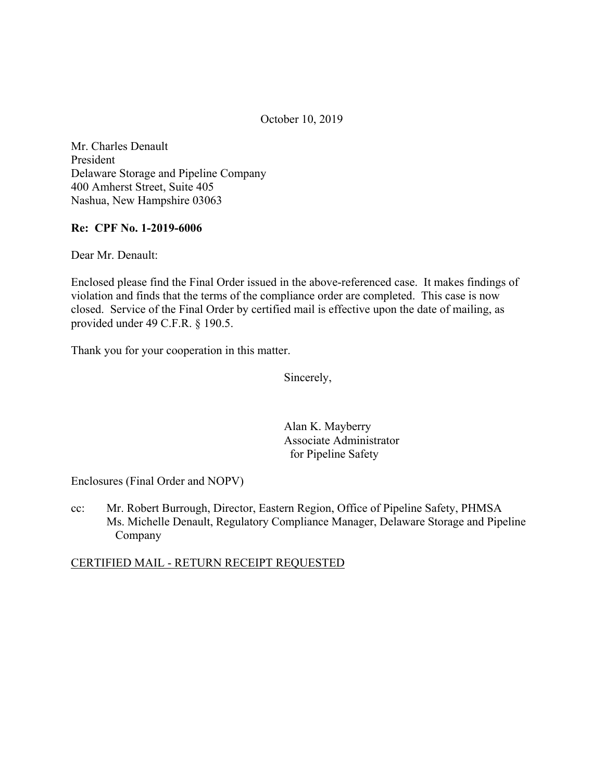October 10, 2019

Mr. Charles Denault President Delaware Storage and Pipeline Company 400 Amherst Street, Suite 405 Nashua, New Hampshire 03063

## **Re: CPF No. 1-2019-6006**

Dear Mr. Denault:

Enclosed please find the Final Order issued in the above-referenced case. It makes findings of violation and finds that the terms of the compliance order are completed. This case is now closed. Service of the Final Order by certified mail is effective upon the date of mailing, as provided under 49 C.F.R. § 190.5.

Thank you for your cooperation in this matter.

Sincerely,

Alan K. Mayberry Associate Administrator for Pipeline Safety

Enclosures (Final Order and NOPV)

cc: Mr. Robert Burrough, Director, Eastern Region, Office of Pipeline Safety, PHMSA Ms. Michelle Denault, Regulatory Compliance Manager, Delaware Storage and Pipeline Company

CERTIFIED MAIL - RETURN RECEIPT REQUESTED